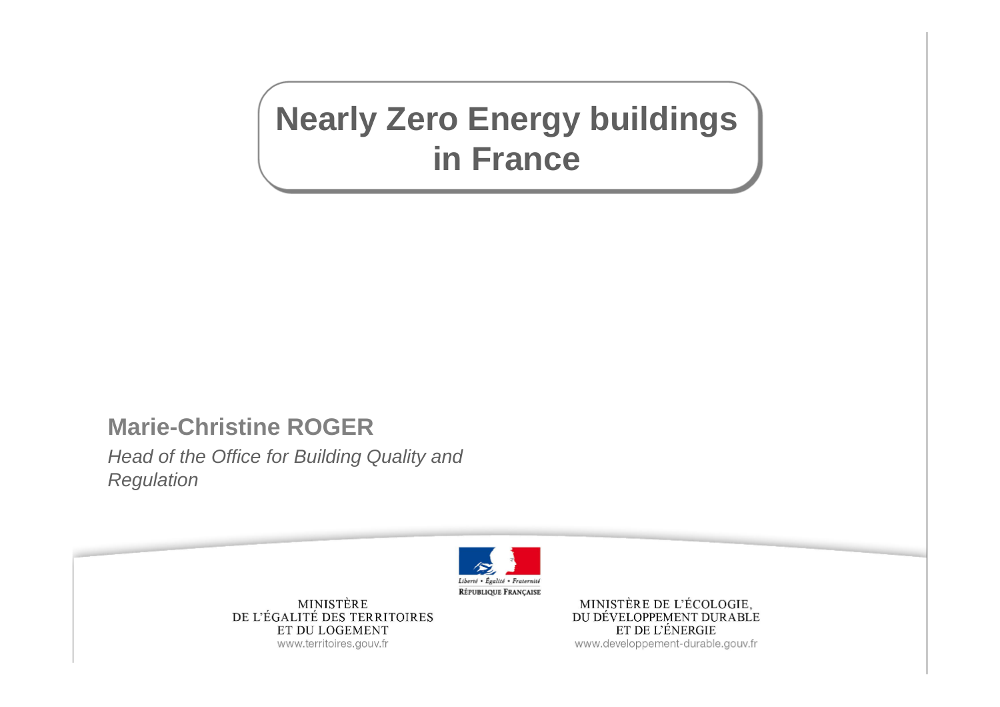# **Nearly Zero Energy buildings in France**

### **Marie-Christine ROGER**

*Head of the Office for Building Quality and Regulation* 



MINISTÈRE DE L'ÉGALITÉ DES TERRITOIRES ET DU LOGEMENT www.territoires.gouv.fr

MINISTÈRE DE L'ÉCOLOGIE, DU DÉVELOPPEMENT DURABLE ET DE L'ÉNERGIE www.developpement-durable.gouv.fr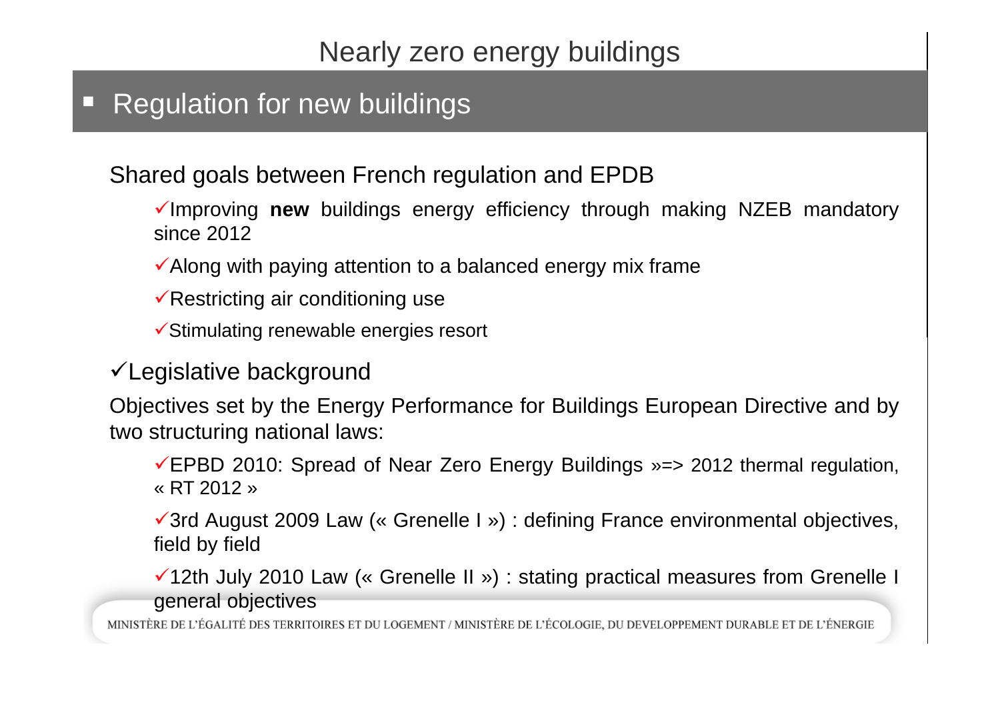#### ◻ **Regulation for new buildings**

Shared goals between French regulation and EPDB

Improving **new** buildings energy efficiency through making NZEB mandatory since 2012

 $\checkmark$  Along with paying attention to a balanced energy mix frame

Restricting air conditioning use

 $\checkmark$ Stimulating renewable energies resort

Legislative background

Objectives set by the Energy Performance for Buildings European Directive and by two structuring national laws:

EPBD 2010: Spread of Near Zero Energy Buildings »=> <sup>2012</sup> thermal regulation, « RT 2012 »

3rd August 2009 Law (« Grenelle I ») : defining France environmental objectives, field by field

12th July 2010 Law (« Grenelle II ») : stating practical measures from Grenelle I general objectives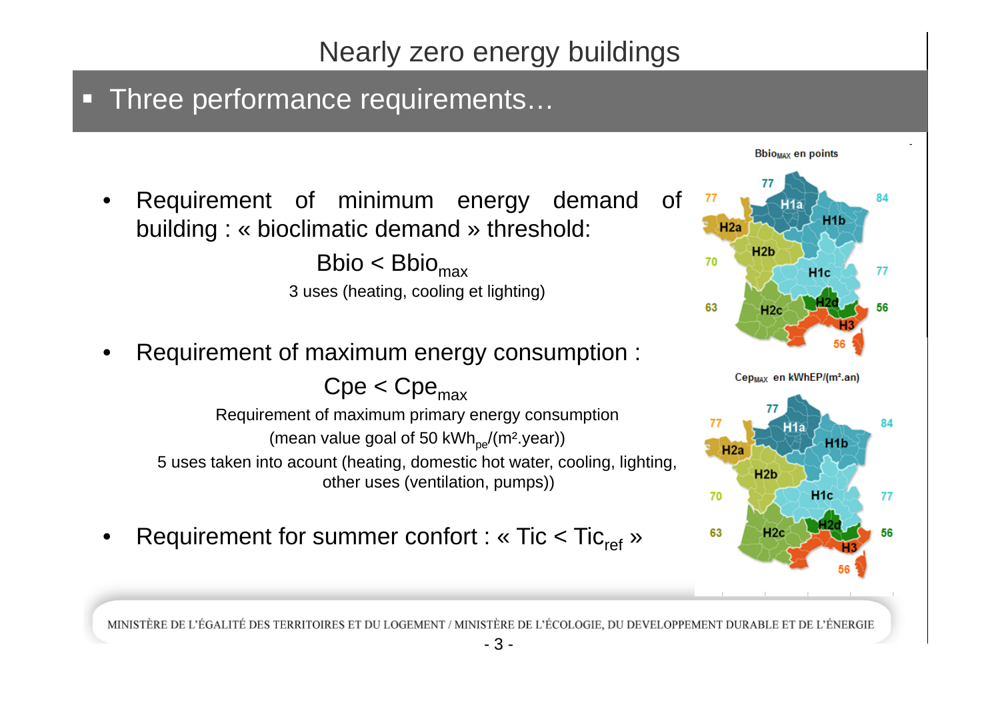### **Three performance requirements...**

• Requirement of minimum energy demand of building : « bioclimatic demand » threshold:

> $Bbio < Bbio<sub>max</sub>$ 3 uses (heating, cooling et lighting)

•Requirement of maximum energy consumption :

 $Cpe < Cpe_{max}$ Requirement of maximum primary energy consumption (mean value goal of 50 kWh<sub>pe</sub>/(m<sup>2</sup>.year)) 5 uses taken into acount (heating, domestic hot water, cooling, lighting, other uses (ventilation, pumps))

•Requirement for summer confort : « Tic < Tic<sub>ref</sub> »

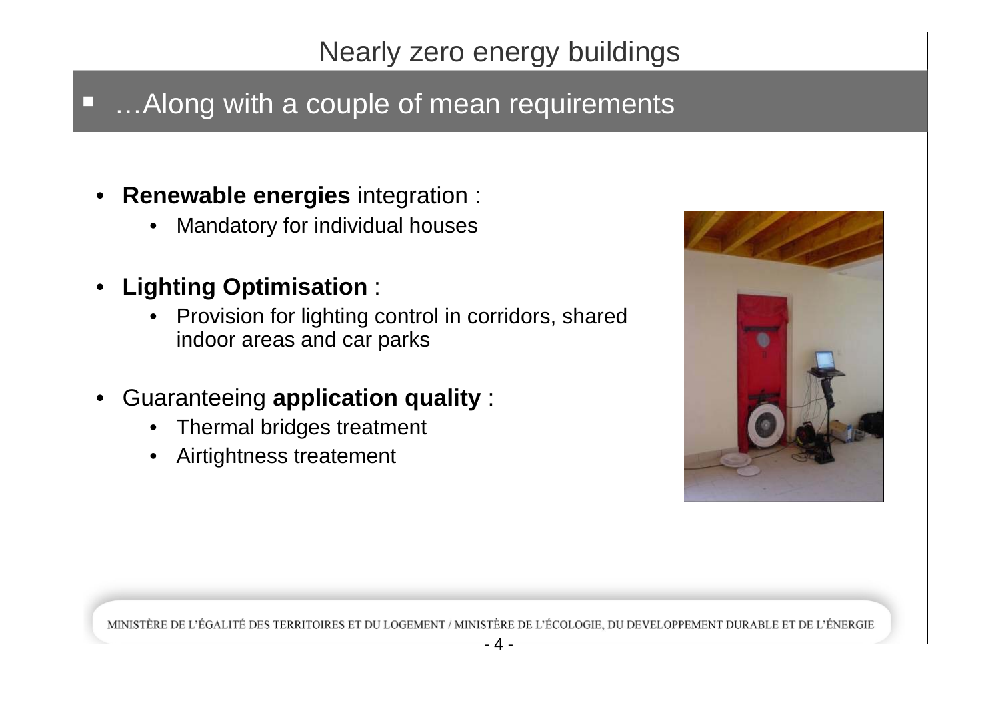# …Along with a couple of mean requirements

- **Renewable energies** integration :
	- $\bullet$ Mandatory for individual houses
- •**Lighting Optimisation** :

 $\Box$ 

- • Provision for lighting control in corridors, shared indoor areas and car parks
- • Guaranteeing **application quality** :
	- •Thermal bridges treatment
	- •Airtightness treatement

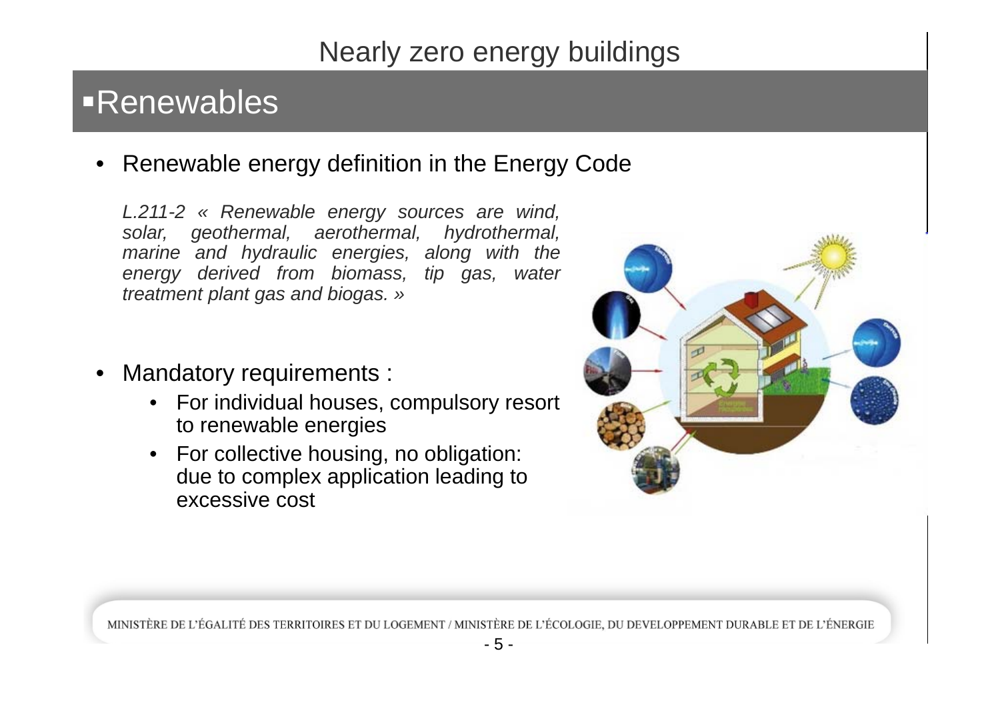# Renewables

• Renewable energy definition in the Energy Code

*L.211-2 « Renewable energy sources are wind, solar, geothermal, aerothermal, hydrothermal, marine and hydraulic energies, along with the energy derived from biomass, tip gas, water treatment plant gas and biogas. »*

- • Mandatory requirements :
	- For individual houses, compulsory resort to renewable energies
	- For collective housing, no obligation: due to complex application leading to excessive cost

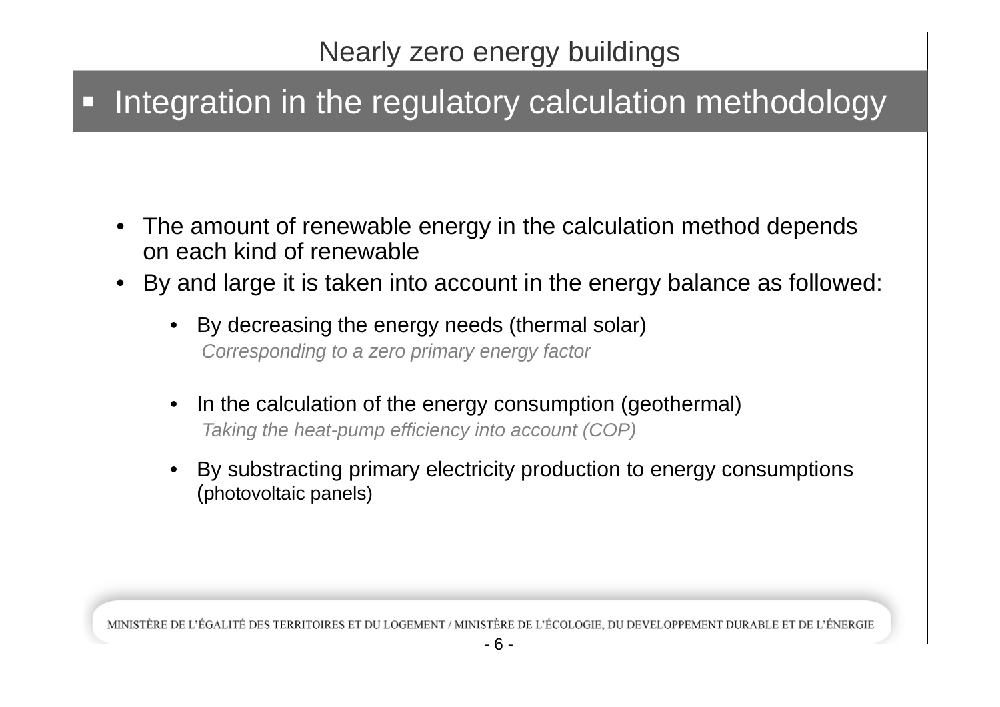#### $\Box$ Integration in the regulatory calculation methodology

- The amount of renewable energy in the calculation method depends on each kind of renewable
- • By and large it is taken into account in the energy balance as followed:
	- • By decreasing the energy needs (thermal solar) *Corresponding to a zero primary energy factor*
	- • In the calculation of the energy consumption (geothermal) *Taking the heat-pump efficiency into account (COP)*
	- • By substracting primary electricity production to energy consumptions (photovoltaic panels)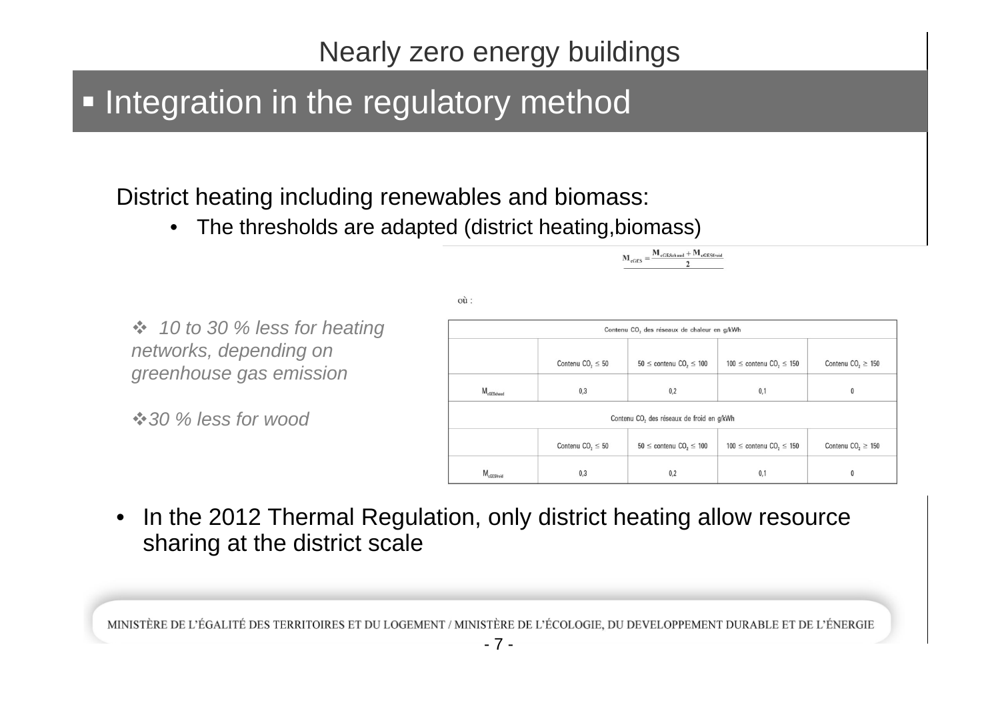# **- Integration in the regulatory method**

### District heating including renewables and biomass:

 $\bullet$ The thresholds are adapted (district heating,biomass)

 $où:$ 

 *10 to 30 % less for heating networks, depending on greenhouse gas emission*

*30 % less for wood*

|                        |                                   | Contenu CO <sub>2</sub> des réseaux de chaleur en g/kWh |                                               |                                    |
|------------------------|-----------------------------------|---------------------------------------------------------|-----------------------------------------------|------------------------------------|
|                        | Contenu $CO2 \le 50$              | $50 \le$ contenu CO <sub>2</sub> $\le$ 100              | $100 \le$ contenu CO <sub>2</sub> $\le$ 150   | Contenu CO <sub>2</sub> $\geq$ 150 |
| $M_{cGESchaud}$        | 0,3                               | 0,2                                                     | 0,1                                           | 0                                  |
|                        |                                   | Contenu CO <sub>2</sub> des réseaux de froid en g/kWh   |                                               |                                    |
|                        | Contenu CO <sub>2</sub> $\leq$ 50 | $50 \le$ contenu CO <sub>2</sub> $\le$ 100              | $100 \leq$ contenu CO <sub>2</sub> $\leq$ 150 | Contenu CO <sub>2</sub> $\geq$ 150 |
| M <sub>cGESfroid</sub> | 0,3                               | 0,2                                                     | 0,1                                           | 0                                  |

 $\mathbf{M}_{\text{eGES}} = \frac{\mathbf{M}_{\text{eGESchaud}} + \mathbf{M}_{\text{eGESfroid}}}{2}$ 

 $\bullet$  In the 2012 Thermal Regulation, only district heating allow resource sharing at the district scale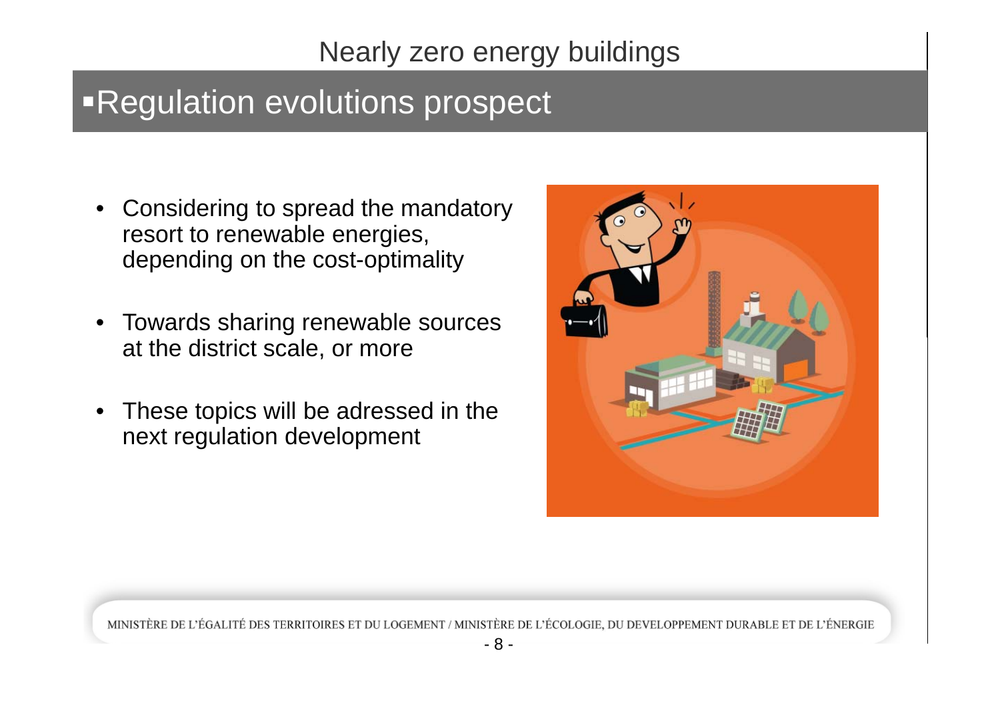# Regulation evolutions prospect

- $\bullet$  Considering to spread the mandatory resort to renewable energies, depending on the cost-optimality
- $\bullet$  Towards sharing renewable sources at the district scale, or more
- These topics will be adressed in the next regulation development

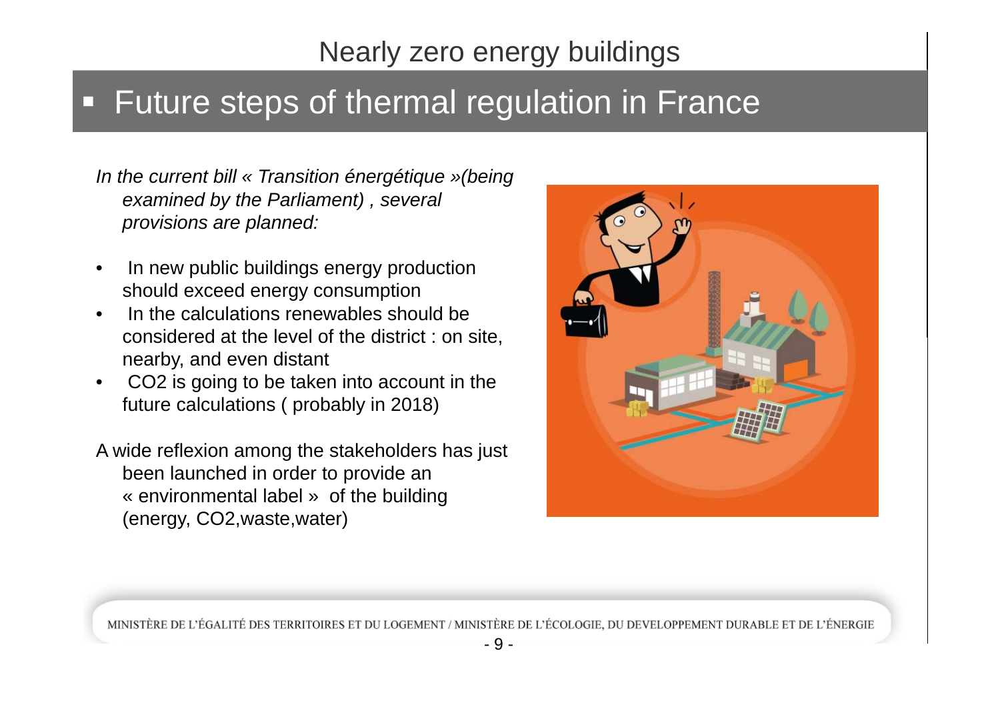#### П Future steps of thermal regulation in France

*In the current bill « Transition énergétique »(being examined by the Parliament) , several provisions are planned:*

- • In new public buildings energy production should exceed energy consumption
- • In the calculations renewables should be considered at the level of the district : on site, nearby, and even distant
- • CO2 is going to be taken into account in the future calculations ( probably in 2018)
- A wide reflexion among the stakeholders has just been launched in order to provide an « environmental label » of the building (energy, CO2,waste,water)